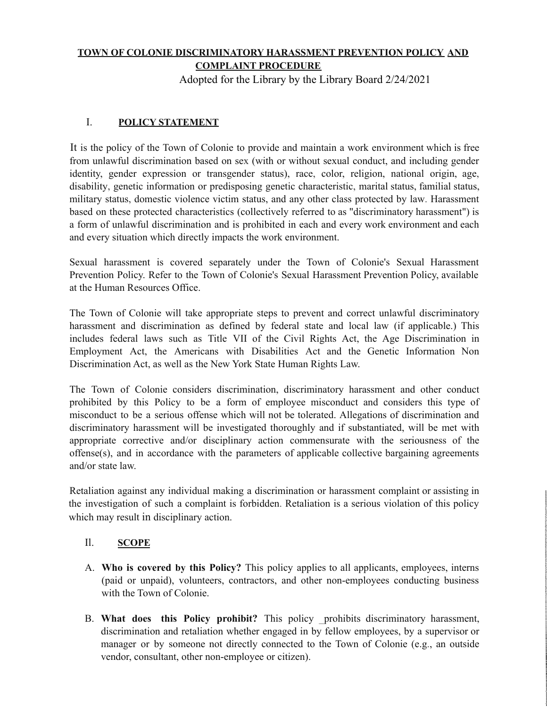## **TOWN OF COLONIE DISCRIMINATORY HARASSMENT PREVENTION POLICY AND COMPLAINT PROCEDURE**

Adopted for the Library by the Library Board 2/24/2021

# I. **POLICY STATEMENT**

It is the policy of the Town of Colonie to provide and maintain a work environment which is free from unlawful discrimination based on sex (with or without sexual conduct, and including gender identity, gender expression or transgender status), race, color, religion, national origin, age, disability, genetic information or predisposing genetic characteristic, marital status, familial status, military status, domestic violence victim status, and any other class protected by law. Harassment based on these protected characteristics (collectively referred to as "discriminatory harassment") is a form of unlawful discrimination and is prohibited in each and every work environment and each and every situation which directly impacts the work environment.

Sexual harassment is covered separately under the Town of Colonie's Sexual Harassment Prevention Policy. Refer to the Town of Colonie's Sexual Harassment Prevention Policy, available at the Human Resources Office.

The Town of Colonie will take appropriate steps to prevent and correct unlawful discriminatory harassment and discrimination as defined by federal state and local law (if applicable.) This includes federal laws such as Title VII of the Civil Rights Act, the Age Discrimination in Employment Act, the Americans with Disabilities Act and the Genetic Information Non Discrimination Act, as well as the New York State Human Rights Law.

The Town of Colonie considers discrimination, discriminatory harassment and other conduct prohibited by this Policy to be a form of employee misconduct and considers this type of misconduct to be a serious offense which will not be tolerated. Allegations of discrimination and discriminatory harassment will be investigated thoroughly and if substantiated, will be met with appropriate corrective and/or disciplinary action commensurate with the seriousness of the offense(s), and in accordance with the parameters of applicable collective bargaining agreements and/or state law.

Retaliation against any individual making a discrimination or harassment complaint or assisting in the investigation of such a complaint is forbidden. Retaliation is a serious violation of this policy which may result in disciplinary action.

# Il. **SCOPE**

- A. **Who is covered by this Policy?** This policy applies to all applicants, employees, interns (paid or unpaid), volunteers, contractors, and other non-employees conducting business with the Town of Colonie.
- B. **What does this Policy prohibit?** This policy \_prohibits discriminatory harassment, discrimination and retaliation whether engaged in by fellow employees, by a supervisor or manager or by someone not directly connected to the Town of Colonie (e.g., an outside vendor, consultant, other non-employee or citizen).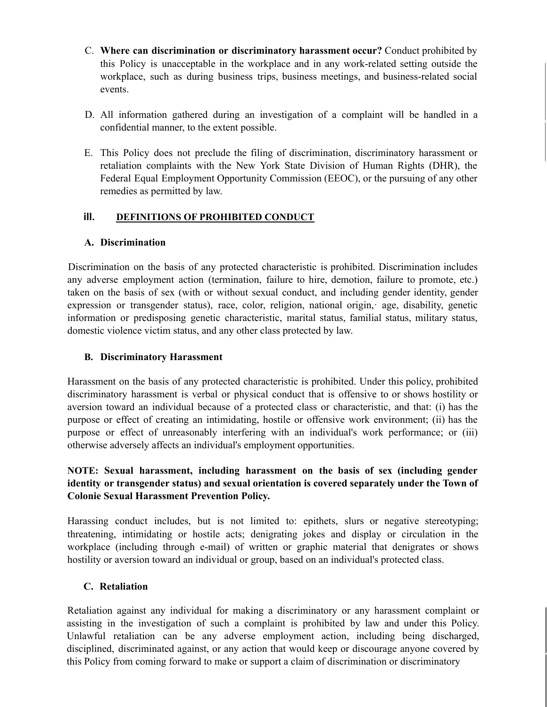- C. **Where can discrimination or discriminatory harassment occur?** Conduct prohibited by this Policy is unacceptable in the workplace and in any work-related setting outside the workplace, such as during business trips, business meetings, and business-related social events.
- D. All information gathered during an investigation of a complaint will be handled in a confidential manner, to the extent possible.
- E. This Policy does not preclude the filing of discrimination, discriminatory harassment or retaliation complaints with the New York State Division of Human Rights (DHR), the Federal Equal Employment Opportunity Commission (EEOC), or the pursuing of any other remedies as permitted by law.

#### **ill. DEFINITIONS OF PROHIBITED CONDUCT**

#### **A. Discrimination**

Discrimination on the basis of any protected characteristic is prohibited. Discrimination includes any adverse employment action (termination, failure to hire, demotion, failure to promote, etc.) taken on the basis of sex (with or without sexual conduct, and including gender identity, gender expression or transgender status), race, color, religion, national origin, age, disability, genetic information or predisposing genetic characteristic, marital status, familial status, military status, domestic violence victim status, and any other class protected by law.

#### **B. Discriminatory Harassment**

Harassment on the basis of any protected characteristic is prohibited. Under this policy, prohibited discriminatory harassment is verbal or physical conduct that is offensive to or shows hostility or aversion toward an individual because of a protected class or characteristic, and that: (i) has the purpose or effect of creating an intimidating, hostile or offensive work environment; (ii) has the purpose or effect of unreasonably interfering with an individual's work performance; or (iii) otherwise adversely affects an individual's employment opportunities.

### **NOTE: Sexual harassment, including harassment on the basis of sex (including gender identity or transgender status) and sexual orientation is covered separately under the Town of Colonie Sexual Harassment Prevention Policy.**

Harassing conduct includes, but is not limited to: epithets, slurs or negative stereotyping; threatening, intimidating or hostile acts; denigrating jokes and display or circulation in the workplace (including through e-mail) of written or graphic material that denigrates or shows hostility or aversion toward an individual or group, based on an individual's protected class.

### **C. Retaliation**

Retaliation against any individual for making a discriminatory or any harassment complaint or assisting in the investigation of such a complaint is prohibited by law and under this Policy. Unlawful retaliation can be any adverse employment action, including being discharged, disciplined, discriminated against, or any action that would keep or discourage anyone covered by this Policy from coming forward to make or support a claim of discrimination or discriminatory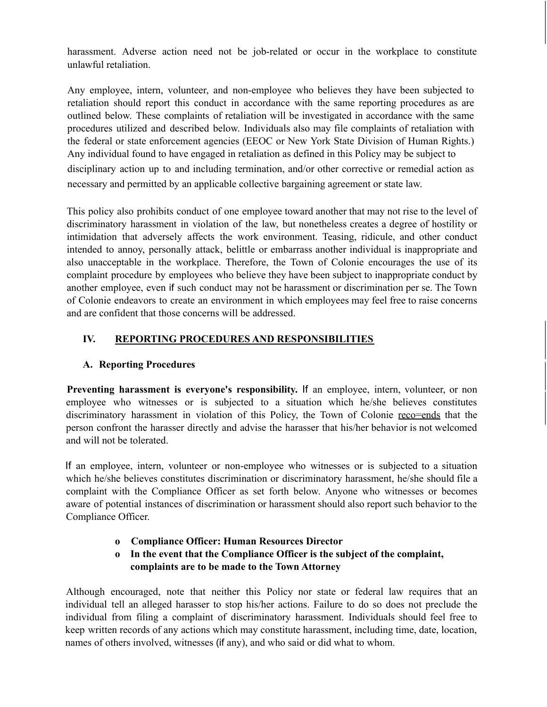harassment. Adverse action need not be job-related or occur in the workplace to constitute unlawful retaliation.

Any employee, intern, volunteer, and non-employee who believes they have been subjected to retaliation should report this conduct in accordance with the same reporting procedures as are outlined below. These complaints of retaliation will be investigated in accordance with the same procedures utilized and described below. Individuals also may file complaints of retaliation with the federal or state enforcement agencies (EEOC or New York State Division of Human Rights.) Any individual found to have engaged in retaliation as defined in this Policy may be subject to disciplinary action up to and including termination, and/or other corrective or remedial action as necessary and permitted by an applicable collective bargaining agreement or state law.

This policy also prohibits conduct of one employee toward another that may not rise to the level of discriminatory harassment in violation of the law, but nonetheless creates a degree of hostility or intimidation that adversely affects the work environment. Teasing, ridicule, and other conduct intended to annoy, personally attack, belittle or embarrass another individual is inappropriate and also unacceptable in the workplace. Therefore, the Town of Colonie encourages the use of its complaint procedure by employees who believe they have been subject to inappropriate conduct by another employee, even if such conduct may not be harassment or discrimination per se. The Town of Colonie endeavors to create an environment in which employees may feel free to raise concerns and are confident that those concerns will be addressed.

### **IV. REPORTING PROCEDURES AND RESPONSIBILITIES**

### **A. Reporting Procedures**

**Preventing harassment is everyone's responsibility.** If an employee, intern, volunteer, or non employee who witnesses or is subjected to a situation which he/she believes constitutes discriminatory harassment in violation of this Policy, the Town of Colonie reco=ends that the person confront the harasser directly and advise the harasser that his/her behavior is not welcomed and will not be tolerated.

If an employee, intern, volunteer or non-employee who witnesses or is subjected to a situation which he/she believes constitutes discrimination or discriminatory harassment, he/she should file a complaint with the Compliance Officer as set forth below. Anyone who witnesses or becomes aware of potential instances of discrimination or harassment should also report such behavior to the Compliance Officer.

- **o Compliance Officer: Human Resources Director**
- **o In the event that the Compliance Officer is the subject of the complaint, complaints are to be made to the Town Attorney**

Although encouraged, note that neither this Policy nor state or federal law requires that an individual tell an alleged harasser to stop his/her actions. Failure to do so does not preclude the individual from filing a complaint of discriminatory harassment. Individuals should feel free to keep written records of any actions which may constitute harassment, including time, date, location, names of others involved, witnesses (if any), and who said or did what to whom.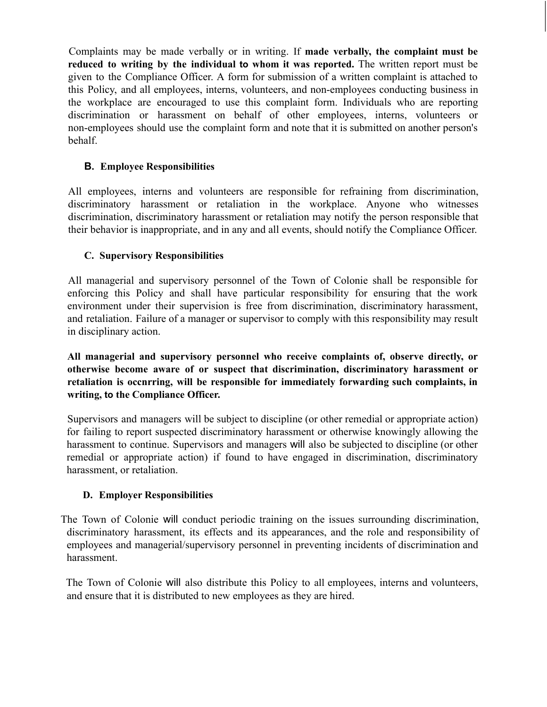Complaints may be made verbally or in writing. If **made verbally, the complaint must be reduced to writing by the individual to whom it was reported.** The written report must be given to the Compliance Officer. A form for submission of a written complaint is attached to this Policy, and all employees, interns, volunteers, and non-employees conducting business in the workplace are encouraged to use this complaint form. Individuals who are reporting discrimination or harassment on behalf of other employees, interns, volunteers or non-employees should use the complaint form and note that it is submitted on another person's behalf.

## **B. Employee Responsibilities**

All employees, interns and volunteers are responsible for refraining from discrimination, discriminatory harassment or retaliation in the workplace. Anyone who witnesses discrimination, discriminatory harassment or retaliation may notify the person responsible that their behavior is inappropriate, and in any and all events, should notify the Compliance Officer.

## **C. Supervisory Responsibilities**

All managerial and supervisory personnel of the Town of Colonie shall be responsible for enforcing this Policy and shall have particular responsibility for ensuring that the work environment under their supervision is free from discrimination, discriminatory harassment, and retaliation. Failure of a manager or supervisor to comply with this responsibility may result in disciplinary action.

**All managerial and supervisory personnel who receive complaints of, observe directly, or otherwise become aware of or suspect that discrimination, discriminatory harassment or retaliation is occnrring, will be responsible for immediately forwarding such complaints, in writing, to the Compliance Officer.**

Supervisors and managers will be subject to discipline (or other remedial or appropriate action) for failing to report suspected discriminatory harassment or otherwise knowingly allowing the harassment to continue. Supervisors and managers will also be subjected to discipline (or other remedial or appropriate action) if found to have engaged in discrimination, discriminatory harassment, or retaliation.

### **D. Employer Responsibilities**

The Town of Colonie will conduct periodic training on the issues surrounding discrimination, discriminatory harassment, its effects and its appearances, and the role and responsibility of employees and managerial/supervisory personnel in preventing incidents of discrimination and harassment.

The Town of Colonie will also distribute this Policy to all employees, interns and volunteers, and ensure that it is distributed to new employees as they are hired.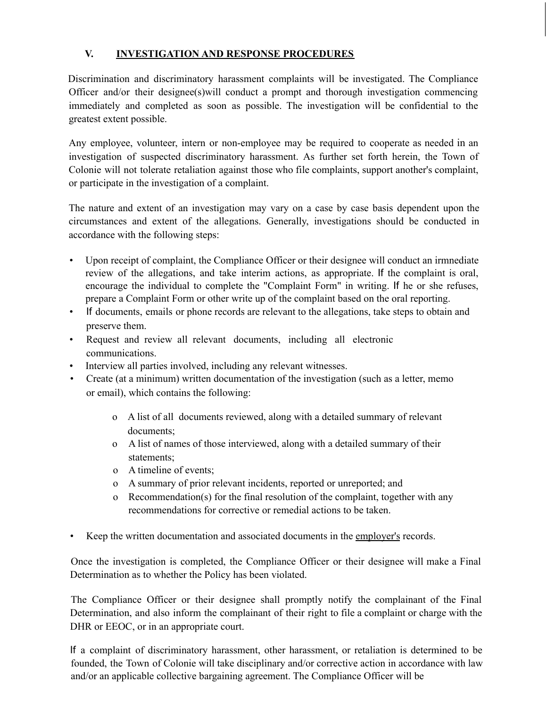# **V. INVESTIGATION AND RESPONSE PROCEDURES**

Discrimination and discriminatory harassment complaints will be investigated. The Compliance Officer and/or their designee(s)will conduct a prompt and thorough investigation commencing immediately and completed as soon as possible. The investigation will be confidential to the greatest extent possible.

Any employee, volunteer, intern or non-employee may be required to cooperate as needed in an investigation of suspected discriminatory harassment. As further set forth herein, the Town of Colonie will not tolerate retaliation against those who file complaints, support another's complaint, or participate in the investigation of a complaint.

The nature and extent of an investigation may vary on a case by case basis dependent upon the circumstances and extent of the allegations. Generally, investigations should be conducted in accordance with the following steps:

- Upon receipt of complaint, the Compliance Officer or their designee will conduct an irmnediate review of the allegations, and take interim actions, as appropriate. If the complaint is oral, encourage the individual to complete the "Complaint Form" in writing. If he or she refuses, prepare a Complaint Form or other write up of the complaint based on the oral reporting.
- If documents, emails or phone records are relevant to the allegations, take steps to obtain and preserve them.
- Request and review all relevant documents, including all electronic communications.
- Interview all parties involved, including any relevant witnesses.
- Create (at a minimum) written documentation of the investigation (such as a letter, memo or email), which contains the following:
	- o A list of all documents reviewed, along with a detailed summary of relevant documents;
	- o A list of names of those interviewed, along with a detailed summary of their statements;
	- o A timeline of events;
	- o A summary of prior relevant incidents, reported or unreported; and
	- o Recommendation(s) for the final resolution of the complaint, together with any recommendations for corrective or remedial actions to be taken.
- Keep the written documentation and associated documents in the employer's records.

Once the investigation is completed, the Compliance Officer or their designee will make a Final Determination as to whether the Policy has been violated.

The Compliance Officer or their designee shall promptly notify the complainant of the Final Determination, and also inform the complainant of their right to file a complaint or charge with the DHR or EEOC, or in an appropriate court.

If a complaint of discriminatory harassment, other harassment, or retaliation is determined to be founded, the Town of Colonie will take disciplinary and/or corrective action in accordance with law and/or an applicable collective bargaining agreement. The Compliance Officer will be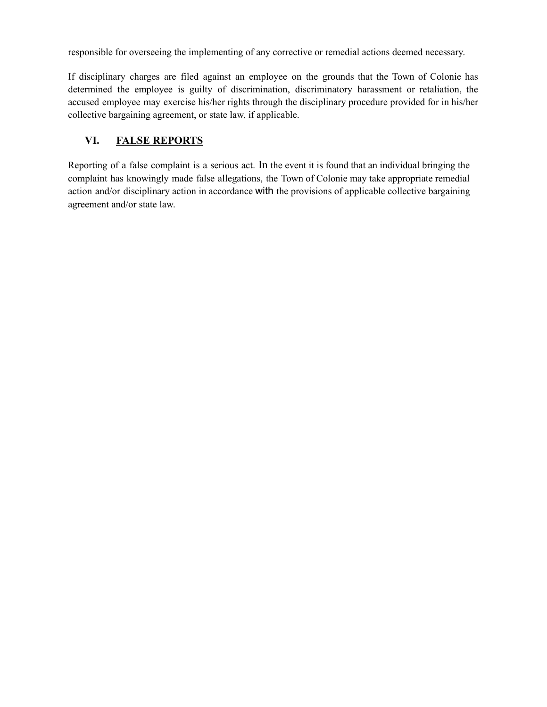responsible for overseeing the implementing of any corrective or remedial actions deemed necessary.

If disciplinary charges are filed against an employee on the grounds that the Town of Colonie has determined the employee is guilty of discrimination, discriminatory harassment or retaliation, the accused employee may exercise his/her rights through the disciplinary procedure provided for in his/her collective bargaining agreement, or state law, if applicable.

# **VI. FALSE REPORTS**

Reporting of a false complaint is a serious act. In the event it is found that an individual bringing the complaint has knowingly made false allegations, the Town of Colonie may take appropriate remedial action and/or disciplinary action in accordance with the provisions of applicable collective bargaining agreement and/or state law.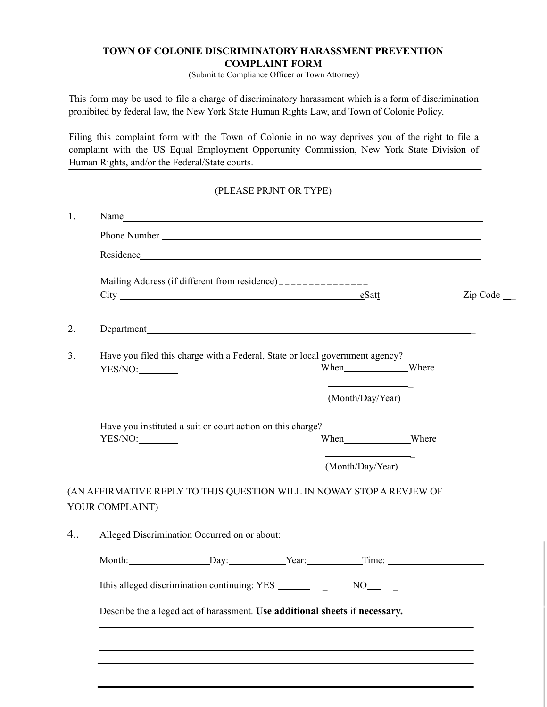#### **TOWN OF COLONIE DISCRIMINATORY HARASSMENT PREVENTION COMPLAINT FORM**

(Submit to Compliance Officer or Town Attorney)

This form may be used to file a charge of discriminatory harassment which is a form of discrimination prohibited by federal law, the New York State Human Rights Law, and Town of Colonie Policy.

Filing this complaint form with the Town of Colonie in no way deprives you of the right to file a complaint with the US Equal Employment Opportunity Commission, New York State Division of Human Rights, and/or the Federal/State courts.

#### (PLEASE PRJNT OR TYPE)

| 1.          | Name                                                                                                |                                                                              |  |                  |                  |              |
|-------------|-----------------------------------------------------------------------------------------------------|------------------------------------------------------------------------------|--|------------------|------------------|--------------|
|             |                                                                                                     |                                                                              |  |                  |                  |              |
|             |                                                                                                     |                                                                              |  |                  |                  |              |
|             | Mailing Address (if different from residence)_______________<br>City eSatt                          |                                                                              |  |                  |                  | $Zip Code$ _ |
| 2.          |                                                                                                     | Department                                                                   |  |                  |                  |              |
| 3.          | YES/NO:                                                                                             | Have you filed this charge with a Federal, State or local government agency? |  |                  | When Where       |              |
|             |                                                                                                     |                                                                              |  |                  | (Month/Day/Year) |              |
|             | YES/NO:                                                                                             | Have you instituted a suit or court action on this charge?                   |  |                  | When Where       |              |
|             |                                                                                                     |                                                                              |  | (Month/Day/Year) |                  |              |
|             | (AN AFFIRMATIVE REPLY TO THJS QUESTION WILL IN NOWAY STOP A REVJEW OF<br>YOUR COMPLAINT)            |                                                                              |  |                  |                  |              |
| $4_{\dots}$ | Alleged Discrimination Occurred on or about:                                                        |                                                                              |  |                  |                  |              |
|             | Month: Day: Day: Year: Time:                                                                        |                                                                              |  |                  |                  |              |
|             | Ithis alleged discrimination continuing: YES _______<br>$NO_{\underline{\hspace{1cm}}}\qquad\qquad$ |                                                                              |  |                  |                  |              |
|             | Describe the alleged act of harassment. Use additional sheets if necessary.                         |                                                                              |  |                  |                  |              |
|             |                                                                                                     |                                                                              |  |                  |                  |              |
|             |                                                                                                     |                                                                              |  |                  |                  |              |